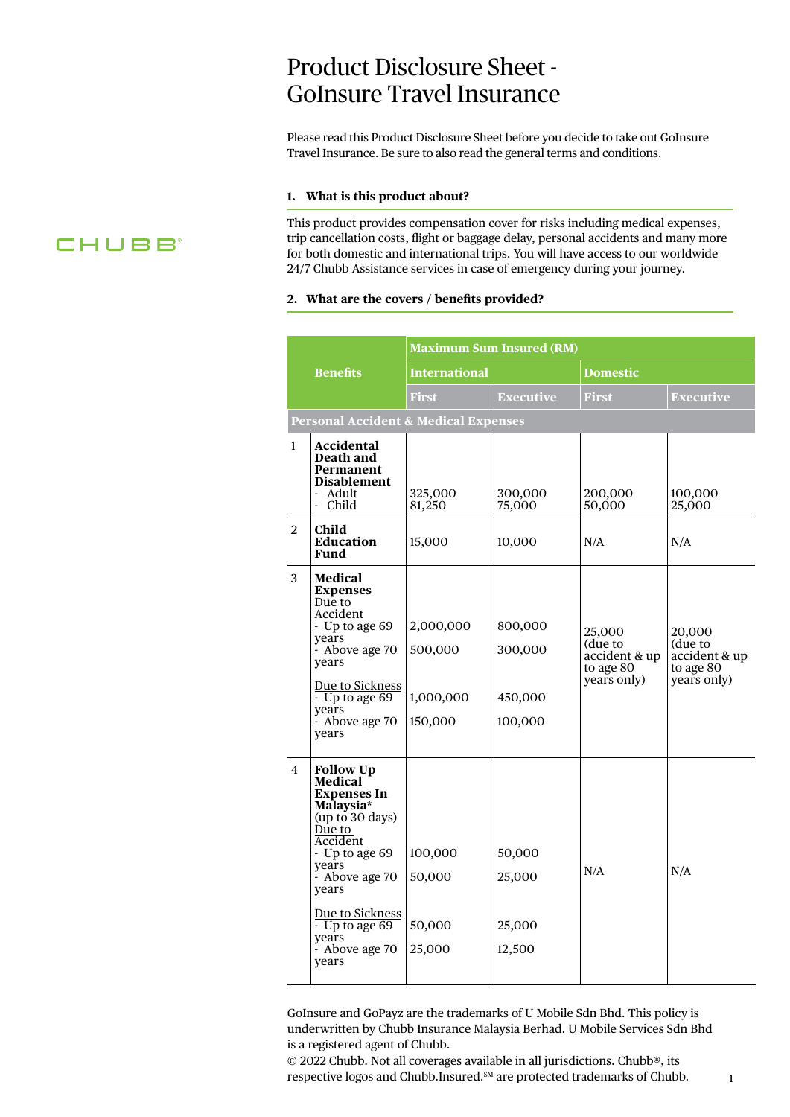# Product Disclosure Sheet - GoInsure Travel Insurance

Please read this Product Disclosure Sheet before you decide to take out GoInsure Travel Insurance. Be sure to also read the general terms and conditions.

#### **1. What is this product about?**

This product provides compensation cover for risks including medical expenses, trip cancellation costs, flight or baggage delay, personal accidents and many more for both domestic and international trips. You will have access to our worldwide 24/7 Chubb Assistance services in case of emergency during your journey.

#### **2. What are the covers / benefits provided?**

|                |                                                                                                                                                                                                                                                             |                                              | <b>Maximum Sum Insured (RM)</b>          |                                                                |                                                                |
|----------------|-------------------------------------------------------------------------------------------------------------------------------------------------------------------------------------------------------------------------------------------------------------|----------------------------------------------|------------------------------------------|----------------------------------------------------------------|----------------------------------------------------------------|
|                | <b>Benefits</b>                                                                                                                                                                                                                                             | <b>International</b>                         |                                          | <b>Domestic</b>                                                |                                                                |
|                |                                                                                                                                                                                                                                                             | <b>First</b>                                 | <b>Executive</b>                         | <b>First</b>                                                   | <b>Executive</b>                                               |
|                | <b>Personal Accident &amp; Medical Expenses</b>                                                                                                                                                                                                             |                                              |                                          |                                                                |                                                                |
| $\mathbf{1}$   | Accidental<br>Death and<br>Permanent<br><b>Disablement</b><br>- Adult<br>- Child                                                                                                                                                                            | 325,000<br>81,250                            | 300,000<br>75,000                        | 200,000<br>50,000                                              | 100,000<br>25,000                                              |
| 2              | Child<br><b>Education</b><br><b>Fund</b>                                                                                                                                                                                                                    | 15,000                                       | 10,000                                   | N/A                                                            | N/A                                                            |
| 3              | <b>Medical</b><br><b>Expenses</b><br>Due to<br>Accident<br>- Up to age 69<br>years<br>- Above age 70<br>years<br>Due to Sickness<br>- Up to age 69<br>years<br>- Above age 70<br>years                                                                      | 2,000,000<br>500,000<br>1,000,000<br>150,000 | 800,000<br>300,000<br>450,000<br>100,000 | 25,000<br>(due to<br>accident & up<br>to age 80<br>years only) | 20,000<br>(due to<br>accident & up<br>to age 80<br>years only) |
| $\overline{4}$ | <b>Follow Up</b><br><b>Medical</b><br><b>Expenses In</b><br>Malaysia*<br>(up to 30 days)<br>Due to<br>Accident<br>- Up to age 69<br>years<br>- Above age 70<br>years<br>Due to Sickness<br>$-$ Up to age 69<br>years<br>$\frac{1}{2}$ Above age 70<br>years | 100,000<br>50,000<br>50,000<br>25,000        | 50,000<br>25,000<br>25,000<br>12,500     | N/A                                                            | N/A                                                            |

GoInsure and GoPayz are the trademarks of U Mobile Sdn Bhd. This policy is underwritten by Chubb Insurance Malaysia Berhad. U Mobile Services Sdn Bhd is a registered agent of Chubb.

© 2022 Chubb. Not all coverages available in all jurisdictions. Chubb®, its respective logos and Chubb.Insured.<sup>SM</sup> are protected trademarks of Chubb.

1

# **CHUBB**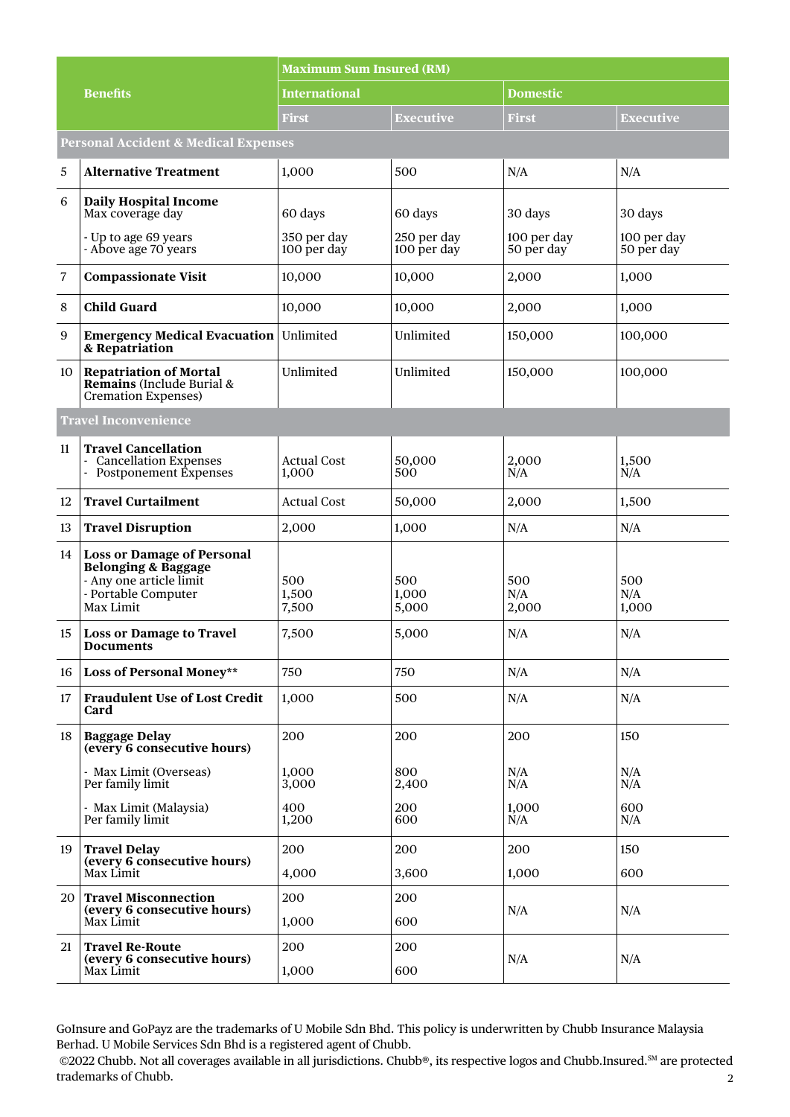|                |                                                                                                                                    | <b>Maximum Sum Insured (RM)</b> |                            |                           |                           |  |  |
|----------------|------------------------------------------------------------------------------------------------------------------------------------|---------------------------------|----------------------------|---------------------------|---------------------------|--|--|
|                | <b>Benefits</b>                                                                                                                    | <b>International</b>            |                            | <b>Domestic</b>           |                           |  |  |
|                |                                                                                                                                    | First                           | Executive                  | First                     | Executive                 |  |  |
|                | <b>Personal Accident &amp; Medical Expenses</b>                                                                                    |                                 |                            |                           |                           |  |  |
| 5              | <b>Alternative Treatment</b>                                                                                                       | 1,000                           | 500                        | N/A                       | N/A                       |  |  |
| 6              | <b>Daily Hospital Income</b><br>Max coverage day                                                                                   | 60 days                         | 60 days                    | 30 days                   | 30 days                   |  |  |
|                | - Up to age 69 years<br>- Above age 70 years                                                                                       | 350 per day<br>100 per day      | 250 per day<br>100 per day | 100 per day<br>50 per day | 100 per day<br>50 per day |  |  |
| $\overline{7}$ | <b>Compassionate Visit</b>                                                                                                         | 10,000                          | 10,000                     | 2,000                     | 1,000                     |  |  |
| $\,8\,$        | <b>Child Guard</b>                                                                                                                 | 10,000                          | 10,000                     | 2,000                     | 1,000                     |  |  |
| 9              | <b>Emergency Medical Evacuation</b><br>& Repatriation                                                                              | Unlimited                       | Unlimited                  | 150,000                   | 100,000                   |  |  |
| 10             | <b>Repatriation of Mortal</b><br>Remains (Include Burial &<br><b>Cremation Expenses)</b>                                           | Unlimited                       | Unlimited                  | 150,000                   | 100,000                   |  |  |
|                | <b>Travel Inconvenience</b>                                                                                                        |                                 |                            |                           |                           |  |  |
| 11             | <b>Travel Cancellation</b><br><b>Cancellation Expenses</b><br>Postponement Éxpenses                                                | <b>Actual Cost</b><br>1,000     | 50,000<br>500              | 2,000<br>N/A              | 1,500<br>N/A              |  |  |
| 12             | <b>Travel Curtailment</b>                                                                                                          | <b>Actual Cost</b>              | 50,000                     | 2,000                     | 1,500                     |  |  |
| 13             | <b>Travel Disruption</b>                                                                                                           | 2,000                           | 1,000                      | N/A                       | N/A                       |  |  |
| 14             | <b>Loss or Damage of Personal</b><br><b>Belonging &amp; Baggage</b><br>- Any one article limit<br>- Portable Computer<br>Max Limit | 500<br>1,500<br>7,500           | 500<br>1,000<br>5,000      | 500<br>N/A<br>2,000       | 500<br>N/A<br>1,000       |  |  |
| 15             | <b>Loss or Damage to Travel</b><br><b>Documents</b>                                                                                | 7,500                           | 5,000                      | N/A                       | N/A                       |  |  |
| 16             | <b>Loss of Personal Money**</b>                                                                                                    | 750                             | 750                        | N/A                       | N/A                       |  |  |
| 17             | <b>Fraudulent Use of Lost Credit</b><br>Card                                                                                       | 1,000                           | 500                        | N/A                       | N/A                       |  |  |
| 18             | <b>Baggage Delay</b><br>(every 6 consecutive hours)                                                                                | 200                             | 200                        | 200                       | 150                       |  |  |
|                | - Max Limit (Overseas)<br>Per family limit                                                                                         | 1,000<br>3,000                  | 800<br>2,400               | N/A<br>N/A                | N/A<br>N/A                |  |  |
|                | - Max Limit (Malaysia)<br>Per family limit                                                                                         | 400<br>1,200                    | 200<br>600                 | 1,000<br>N/A              | 600<br>N/A                |  |  |
| 19             | <b>Travel Delay</b>                                                                                                                | 200                             | 200                        | 200                       | 150                       |  |  |
|                | (every 6 consecutive hours)<br>Max Limit                                                                                           | 4,000                           | 3,600                      | 1,000                     | 600                       |  |  |
| 20             | <b>Travel Misconnection</b><br>(every 6 consecutive hours)                                                                         | 200                             | 200                        | N/A                       | N/A                       |  |  |
|                | Max Limit                                                                                                                          | 1,000                           | 600                        |                           |                           |  |  |
| 21             | <b>Travel Re-Route</b><br>(every 6 consecutive hours)                                                                              | 200                             | 200                        | N/A                       | N/A                       |  |  |
|                | Max Limit                                                                                                                          | 1,000                           | 600                        |                           |                           |  |  |

GoInsure and GoPayz are the trademarks of U Mobile Sdn Bhd. This policy is underwritten by Chubb Insurance Malaysia Berhad. U Mobile Services Sdn Bhd is a registered agent of Chubb.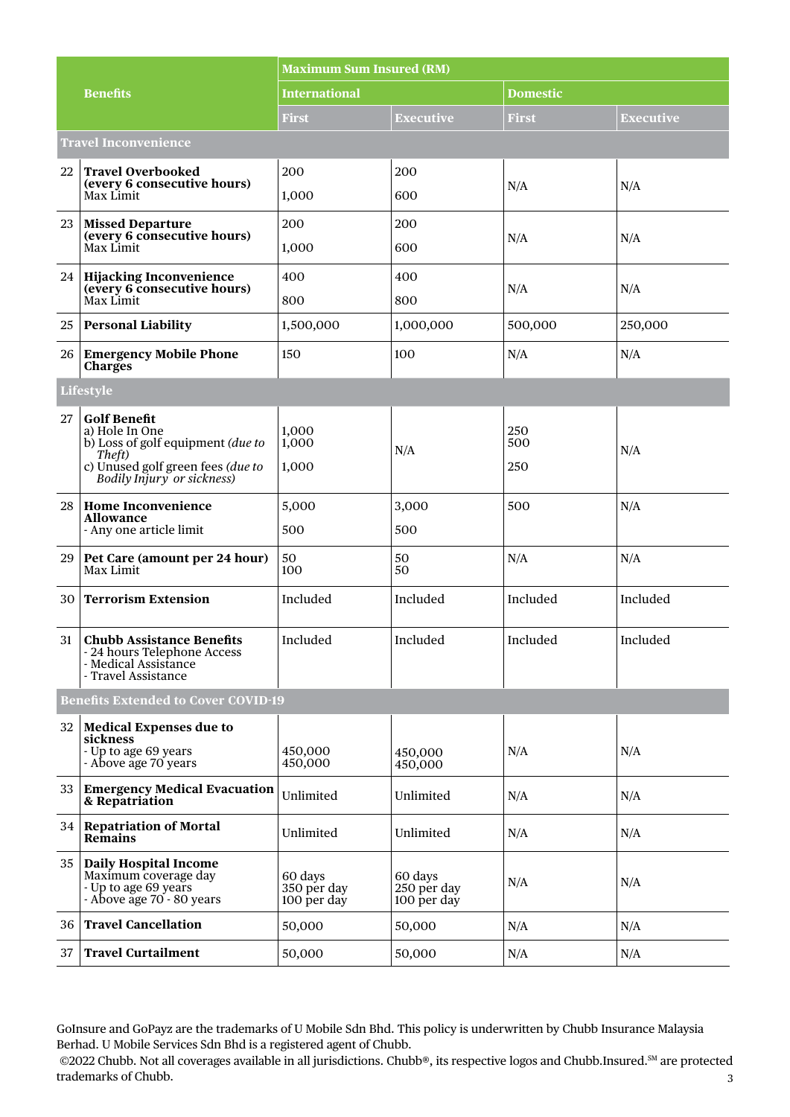|    |                                                                                                                                                         | <b>Maximum Sum Insured (RM)</b>       |                                       |                   |                  |  |  |
|----|---------------------------------------------------------------------------------------------------------------------------------------------------------|---------------------------------------|---------------------------------------|-------------------|------------------|--|--|
|    | <b>Benefits</b>                                                                                                                                         | <b>International</b>                  |                                       | <b>Domestic</b>   |                  |  |  |
|    |                                                                                                                                                         | First                                 | <b>Executive</b>                      | <b>First</b>      | <b>Executive</b> |  |  |
|    | <b>Travel Inconvenience</b>                                                                                                                             |                                       |                                       |                   |                  |  |  |
| 22 | <b>Travel Overbooked</b>                                                                                                                                | 200                                   | 200                                   |                   |                  |  |  |
|    | (every 6 consecutive hours)<br>Max Limit                                                                                                                | 1,000                                 | 600                                   | N/A               | N/A              |  |  |
| 23 | <b>Missed Departure</b><br>(every 6 consecutive hours)                                                                                                  | 200                                   | 200                                   |                   |                  |  |  |
|    | Max Limit                                                                                                                                               | 1,000                                 | 600                                   | N/A               | N/A              |  |  |
| 24 | <b>Hijacking Inconvenience</b><br>(every 6 consecutive hours)                                                                                           | 400                                   | 400                                   | N/A               | N/A              |  |  |
|    | Max Limit                                                                                                                                               | 800                                   | 800                                   |                   |                  |  |  |
| 25 | <b>Personal Liability</b>                                                                                                                               | 1,500,000                             | 1,000,000                             | 500,000           | 250,000          |  |  |
| 26 | <b>Emergency Mobile Phone</b><br><b>Charges</b>                                                                                                         | 150                                   | 100                                   | N/A               | N/A              |  |  |
|    | <b>Lifestyle</b>                                                                                                                                        |                                       |                                       |                   |                  |  |  |
| 27 | <b>Golf Benefit</b><br>a) Hole In One<br>b) Loss of golf equipment (due to<br>Theft)<br>c) Unused golf green fees (due to<br>Bodily Injury or sickness) | 1,000<br>1,000<br>1,000               | N/A                                   | 250<br>500<br>250 | N/A              |  |  |
| 28 | <b>Home Inconvenience</b><br><b>Allowance</b><br>- Any one article limit                                                                                | 5,000<br>500                          | 3,000<br>500                          | 500               | N/A              |  |  |
| 29 | Pet Care (amount per 24 hour)<br>Max Limit                                                                                                              | 50<br>100                             | 50<br>50                              | N/A               | N/A              |  |  |
| 30 | <b>Terrorism Extension</b>                                                                                                                              | Included                              | Included                              | Included          | Included         |  |  |
| 31 | <b>Chubb Assistance Benefits</b><br>24 hours Telephone Access<br>- Medical Assistance<br>- Travel Assistance                                            | Included                              | Included                              | Included          | Included         |  |  |
|    | <b>Benefits Extended to Cover COVID-19</b>                                                                                                              |                                       |                                       |                   |                  |  |  |
| 32 | <b>Medical Expenses due to</b><br>sickness                                                                                                              |                                       |                                       |                   |                  |  |  |
|    | - Up to age 69 years<br>- Above age 70 years                                                                                                            | 450,000<br>450,000                    | 450,000<br>450,000                    | N/A               | N/A              |  |  |
| 33 | <b>Emergency Medical Evacuation</b><br>& Repatriation                                                                                                   | Unlimited                             | Unlimited                             | N/A               | N/A              |  |  |
| 34 | <b>Repatriation of Mortal</b><br><b>Remains</b>                                                                                                         | Unlimited                             | Unlimited                             | N/A               | N/A              |  |  |
| 35 | <b>Daily Hospital Income</b><br>Maximum coverage day<br>- Up to age 69 years<br>- Above age 70 - 80 years                                               | 60 days<br>350 per day<br>100 per day | 60 days<br>250 per day<br>100 per day | N/A               | N/A              |  |  |
| 36 | <b>Travel Cancellation</b>                                                                                                                              | 50,000                                | 50,000                                | N/A               | N/A              |  |  |
| 37 | <b>Travel Curtailment</b>                                                                                                                               | 50,000                                | 50,000                                | N/A               | N/A              |  |  |

GoInsure and GoPayz are the trademarks of U Mobile Sdn Bhd. This policy is underwritten by Chubb Insurance Malaysia Berhad. U Mobile Services Sdn Bhd is a registered agent of Chubb.

<sup>3</sup> ©2022 Chubb. Not all coverages available in all jurisdictions. Chubb®, its respective logos and Chubb.Insured.SM are protected trademarks of Chubb.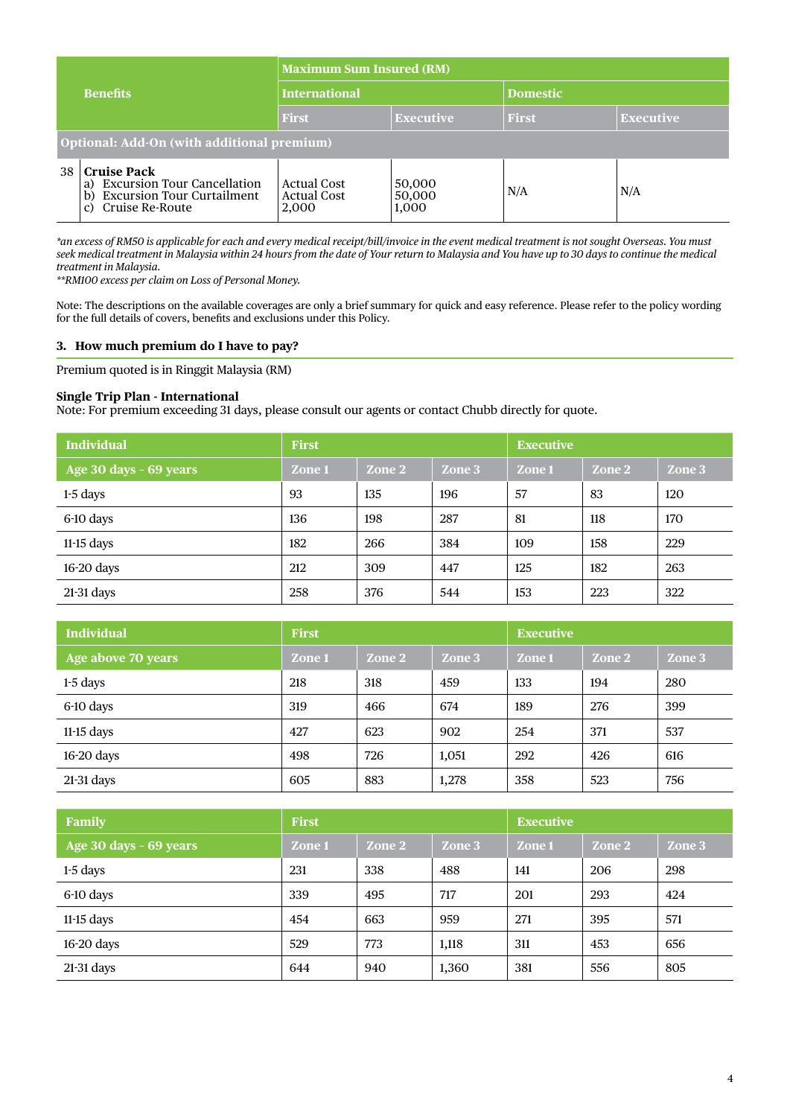| <b>Benefits</b> |                                                                                                                              | <b>Maximum Sum Insured (RM)</b>                   |                           |                 |                  |  |  |
|-----------------|------------------------------------------------------------------------------------------------------------------------------|---------------------------------------------------|---------------------------|-----------------|------------------|--|--|
|                 |                                                                                                                              | <b>International</b>                              |                           | <b>Domestic</b> |                  |  |  |
|                 |                                                                                                                              | <b>First</b>                                      | <b>Executive</b>          | <b>First</b>    | <b>Executive</b> |  |  |
|                 | Optional: Add-On (with additional premium)                                                                                   |                                                   |                           |                 |                  |  |  |
| 38              | <b>Cruise Pack</b><br><b>Excursion Tour Cancellation</b><br>a)<br><b>Excursion Tour Curtailment</b><br>b)<br>Cruise Re-Route | <b>Actual Cost</b><br><b>Actual Cost</b><br>2,000 | 50,000<br>50,000<br>1,000 | N/A             | N/A              |  |  |

*\*an excess of RM50 is applicable for each and every medical receipt/bill/invoice in the event medical treatment is not sought Overseas. You must seek medical treatment in Malaysia within 24 hours from the date of Your return to Malaysia and You have up to 30 days to continue the medical treatment in Malaysia.*

*\*\*RM100 excess per claim on Loss of Personal Money.*

Note: The descriptions on the available coverages are only a brief summary for quick and easy reference. Please refer to the policy wording for the full details of covers, benefits and exclusions under this Policy.

#### **3. How much premium do I have to pay?**

Premium quoted is in Ringgit Malaysia (RM)

#### **Single Trip Plan - International**

Note: For premium exceeding 31 days, please consult our agents or contact Chubb directly for quote.

| <b>Individual</b>      | <b>First</b> |        | <b>Executive</b> |        |        |        |
|------------------------|--------------|--------|------------------|--------|--------|--------|
| Age 30 days - 69 years | Zone 1       | Zone 2 | Zone 3           | Zone 1 | Zone 2 | Zone 3 |
| $1-5$ days             | 93           | 135    | 196              | 57     | 83     | 120    |
| 6-10 days              | 136          | 198    | 287              | 81     | 118    | 170    |
| $11-15$ days           | 182          | 266    | 384              | 109    | 158    | 229    |
| 16-20 days             | 212          | 309    | 447              | 125    | 182    | 263    |
| $21-31$ days           | 258          | 376    | 544              | 153    | 223    | 322    |

| <b>Individual</b>  | <b>First</b> |        | <b>Executive</b> |        |        |        |
|--------------------|--------------|--------|------------------|--------|--------|--------|
| Age above 70 years | Zone 1       | Zone 2 | Zone 3           | Zone 1 | Zone 2 | Zone 3 |
| $1-5$ days         | 218          | 318    | 459              | 133    | 194    | 280    |
| 6-10 days          | 319          | 466    | 674              | 189    | 276    | 399    |
| $11-15$ days       | 427          | 623    | 902              | 254    | 371    | 537    |
| $16-20$ days       | 498          | 726    | 1,051            | 292    | 426    | 616    |
| $21-31$ days       | 605          | 883    | 1,278            | 358    | 523    | 756    |

| Family                 | <b>First</b> |        |        | <b>Executive</b> |        |        |
|------------------------|--------------|--------|--------|------------------|--------|--------|
| Age 30 days - 69 years | Zone 1       | Zone 2 | Zone 3 | Zone 1           | Zone 2 | Zone 3 |
| $1-5$ days             | 231          | 338    | 488    | 141              | 206    | 298    |
| 6-10 days              | 339          | 495    | 717    | 201              | 293    | 424    |
| $11-15$ days           | 454          | 663    | 959    | 271              | 395    | 571    |
| $16-20$ days           | 529          | 773    | 1,118  | 311              | 453    | 656    |
| $21-31$ days           | 644          | 940    | 1,360  | 381              | 556    | 805    |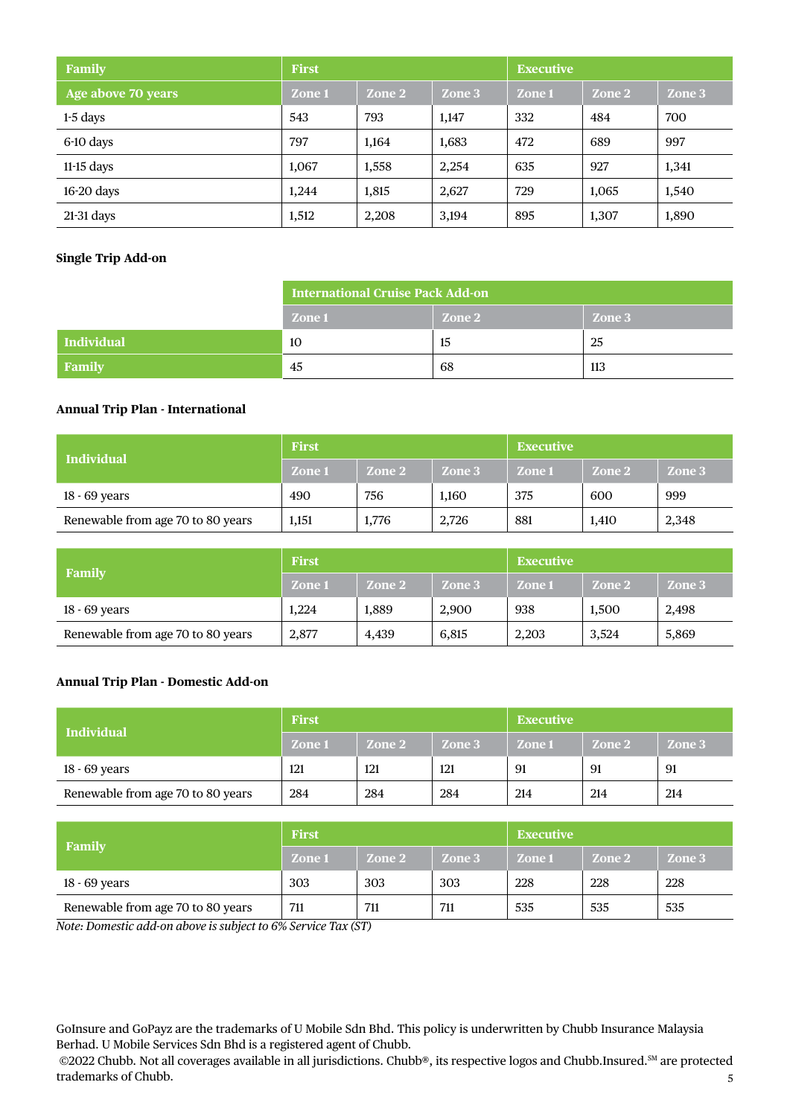| Family             | <b>First</b> |        |        | <b>Executive</b> |        |        |
|--------------------|--------------|--------|--------|------------------|--------|--------|
| Age above 70 years | Zone 1       | Zone 2 | Zone 3 | Zone 1           | Zone 2 | Zone 3 |
| $1-5$ days         | 543          | 793    | 1,147  | 332              | 484    | 700    |
| 6-10 days          | 797          | 1,164  | 1,683  | 472              | 689    | 997    |
| $11-15$ days       | 1,067        | 1,558  | 2,254  | 635              | 927    | 1,341  |
| $16-20$ days       | 1,244        | 1,815  | 2,627  | 729              | 1,065  | 1,540  |
| $21-31$ days       | 1,512        | 2,208  | 3,194  | 895              | 1,307  | 1,890  |

# **Single Trip Add-on**

|            | <b>International Cruise Pack Add-on</b> |        |        |  |  |
|------------|-----------------------------------------|--------|--------|--|--|
|            | Zone 1                                  | Zone 2 | Zone 3 |  |  |
| Individual | 10                                      | 15     | 25     |  |  |
| Family     | 45                                      | 68     | 113    |  |  |

# **Annual Trip Plan - International**

| <b>Individual</b>                 | <b>First</b>  |        |        | <b>Executive</b> |        |        |
|-----------------------------------|---------------|--------|--------|------------------|--------|--------|
|                                   | <b>Zone 1</b> | Zone 2 | Zone 3 | Zone 1           | Zone 2 | Zone 3 |
| 18 - 69 years                     | 490           | 756    | 1,160  | 375              | 600    | 999    |
| Renewable from age 70 to 80 years | 1,151         | 1,776  | 2,726  | 881              | 1.410  | 2,348  |

|                                   | <b>First</b> |        |        | <b>Executive</b> |        |        |
|-----------------------------------|--------------|--------|--------|------------------|--------|--------|
| Family                            | Zone 1       | Zone 2 | Zone 3 | Zone 1           | Zone 2 | Zone 3 |
| 18 - 69 years                     | 1.224        | 1.889  | 2.900  | 938              | 1,500  | 2,498  |
| Renewable from age 70 to 80 years | 2,877        | 4,439  | 6,815  | 2,203            | 3,524  | 5,869  |

# **Annual Trip Plan - Domestic Add-on**

| <b>Individual</b>                 | <b>First</b> |        |        | <b>Executive</b> |        |        |
|-----------------------------------|--------------|--------|--------|------------------|--------|--------|
|                                   | Zone 1       | Zone 2 | Zone 3 | Zone 1           | Zone 2 | Zone 3 |
| 18 - 69 years                     | 121          | 121    | 121    | 91               | 91     | 91     |
| Renewable from age 70 to 80 years | 284          | 284    | 284    | 214              | 214    | 214    |

|                                   | <b>First</b>  |        |        | <b>Executive</b> |        |        |
|-----------------------------------|---------------|--------|--------|------------------|--------|--------|
| Family                            | <b>Zone 1</b> | Zone 2 | Zone 3 | Zone 1           | Zone 2 | Zone 3 |
| 18 - 69 years                     | 303           | 303    | 303    | 228              | 228    | 228    |
| Renewable from age 70 to 80 years | 711           | 711    | 711    | 535              | 535    | 535    |

*Note: Domestic add-on above is subject to 6% Service Tax (ST)*

GoInsure and GoPayz are the trademarks of U Mobile Sdn Bhd. This policy is underwritten by Chubb Insurance Malaysia Berhad. U Mobile Services Sdn Bhd is a registered agent of Chubb.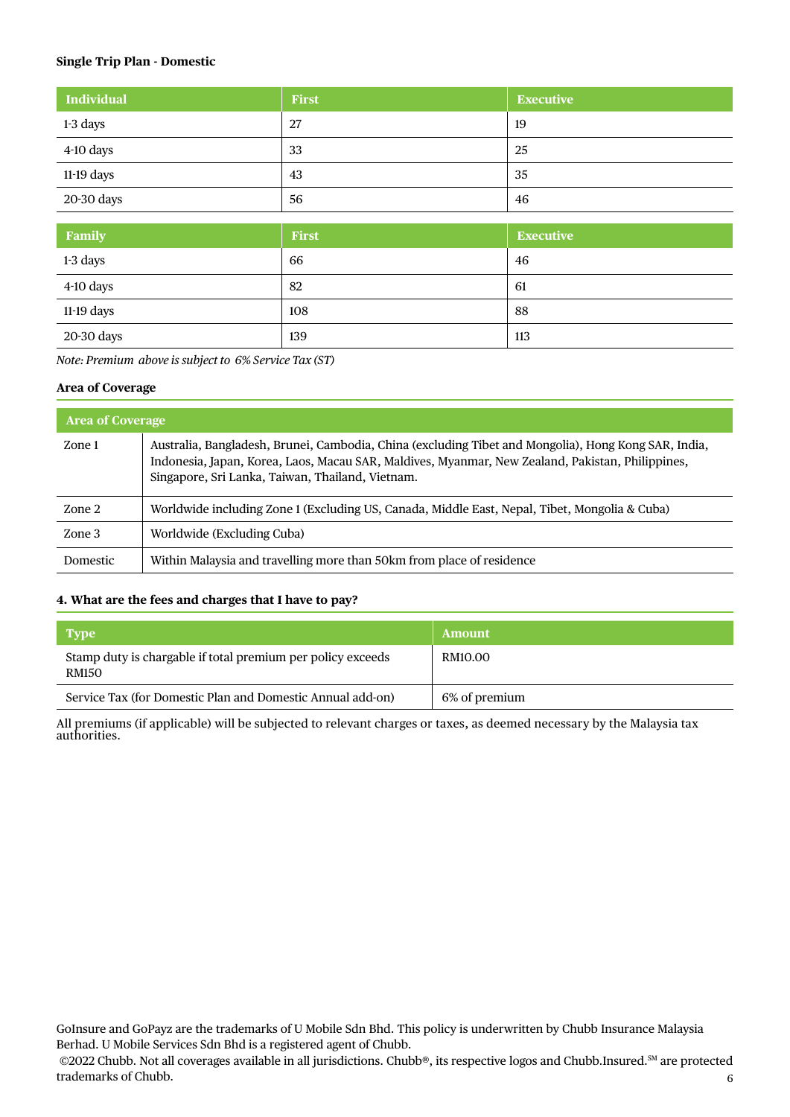# **Single Trip Plan - Domestic**

| <b>Individual</b> | First | <b>Executive</b> |
|-------------------|-------|------------------|
| 1-3 days          | 27    | 19               |
| 4-10 days         | 33    | 25               |
| $11-19$ days      | 43    | 35               |
| 20-30 days        | 56    | 46               |

| Family       | First | <b>Executive</b> |
|--------------|-------|------------------|
| 1-3 days     | 66    | 46               |
| 4-10 days    | 82    | 61               |
| $11-19$ days | 108   | 88               |
| 20-30 days   | 139   | 113              |

*Note: Premium above is subject to 6% Service Tax (ST)*

# **Area of Coverage**

| <b>Area of Coverage</b> |                                                                                                                                                                                                                                                              |  |
|-------------------------|--------------------------------------------------------------------------------------------------------------------------------------------------------------------------------------------------------------------------------------------------------------|--|
| Zone 1                  | Australia, Bangladesh, Brunei, Cambodia, China (excluding Tibet and Mongolia), Hong Kong SAR, India,<br>Indonesia, Japan, Korea, Laos, Macau SAR, Maldives, Myanmar, New Zealand, Pakistan, Philippines,<br>Singapore, Sri Lanka, Taiwan, Thailand, Vietnam. |  |
| Zone 2                  | Worldwide including Zone 1 (Excluding US, Canada, Middle East, Nepal, Tibet, Mongolia & Cuba)                                                                                                                                                                |  |
| Zone 3                  | Worldwide (Excluding Cuba)                                                                                                                                                                                                                                   |  |
| Domestic                | Within Malaysia and travelling more than 50km from place of residence                                                                                                                                                                                        |  |

#### **4. What are the fees and charges that I have to pay?**

| <b>Type</b>                                                                 | Amount        |
|-----------------------------------------------------------------------------|---------------|
| Stamp duty is chargable if total premium per policy exceeds<br><b>RM150</b> | RM10.00       |
| Service Tax (for Domestic Plan and Domestic Annual add-on)                  | 6% of premium |

All premiums (if applicable) will be subjected to relevant charges or taxes, as deemed necessary by the Malaysia tax authorities.

GoInsure and GoPayz are the trademarks of U Mobile Sdn Bhd. This policy is underwritten by Chubb Insurance Malaysia Berhad. U Mobile Services Sdn Bhd is a registered agent of Chubb.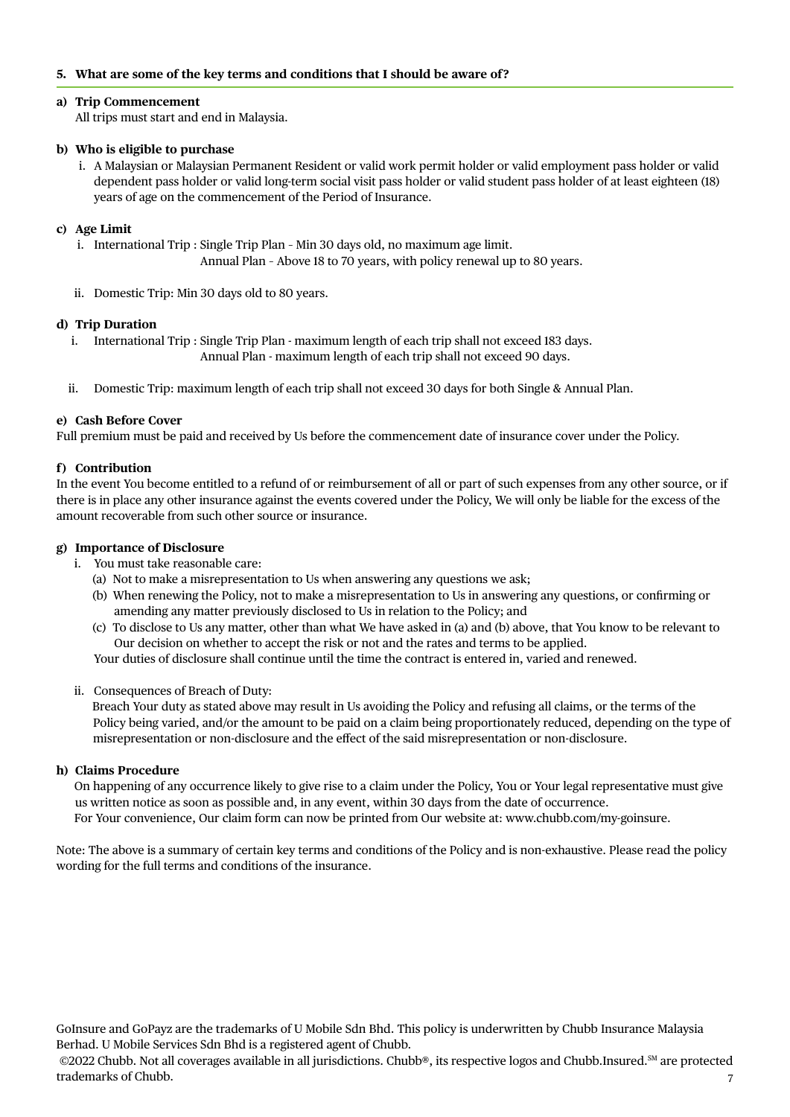# **5. What are some of the key terms and conditions that I should be aware of?**

#### **a) Trip Commencement**

All trips must start and end in Malaysia.

#### **b) Who is eligible to purchase**

i. A Malaysian or Malaysian Permanent Resident or valid work permit holder or valid employment pass holder or valid dependent pass holder or valid long-term social visit pass holder or valid student pass holder of at least eighteen (18) years of age on the commencement of the Period of Insurance.

#### **c) Age Limit**

- i. International Trip : Single Trip Plan Min 30 days old, no maximum age limit. Annual Plan – Above 18 to 70 years, with policy renewal up to 80 years.
- ii. Domestic Trip: Min 30 days old to 80 years.

#### **d) Trip Duration**

- i. International Trip : Single Trip Plan maximum length of each trip shall not exceed 183 days. Annual Plan - maximum length of each trip shall not exceed 90 days.
- ii. Domestic Trip: maximum length of each trip shall not exceed 30 days for both Single & Annual Plan.

#### **e) Cash Before Cover**

Full premium must be paid and received by Us before the commencement date of insurance cover under the Policy.

#### **f) Contribution**

In the event You become entitled to a refund of or reimbursement of all or part of such expenses from any other source, or if there is in place any other insurance against the events covered under the Policy, We will only be liable for the excess of the amount recoverable from such other source or insurance.

# **g) Importance of Disclosure**

- i. You must take reasonable care:
	- (a) Not to make a misrepresentation to Us when answering any questions we ask;
	- (b) When renewing the Policy, not to make a misrepresentation to Us in answering any questions, or confirming or amending any matter previously disclosed to Us in relation to the Policy; and
	- (c) To disclose to Us any matter, other than what We have asked in (a) and (b) above, that You know to be relevant to Our decision on whether to accept the risk or not and the rates and terms to be applied.

Your duties of disclosure shall continue until the time the contract is entered in, varied and renewed.

ii. Consequences of Breach of Duty:

 Breach Your duty as stated above may result in Us avoiding the Policy and refusing all claims, or the terms of the Policy being varied, and/or the amount to be paid on a claim being proportionately reduced, depending on the type of misrepresentation or non-disclosure and the effect of the said misrepresentation or non-disclosure.

#### **h) Claims Procedure**

 On happening of any occurrence likely to give rise to a claim under the Policy, You or Your legal representative must give us written notice as soon as possible and, in any event, within 30 days from the date of occurrence. For Your convenience, Our claim form can now be printed from Our website at: www.chubb.com/my-goinsure.

Note: The above is a summary of certain key terms and conditions of the Policy and is non-exhaustive. Please read the policy wording for the full terms and conditions of the insurance.

GoInsure and GoPayz are the trademarks of U Mobile Sdn Bhd. This policy is underwritten by Chubb Insurance Malaysia Berhad. U Mobile Services Sdn Bhd is a registered agent of Chubb.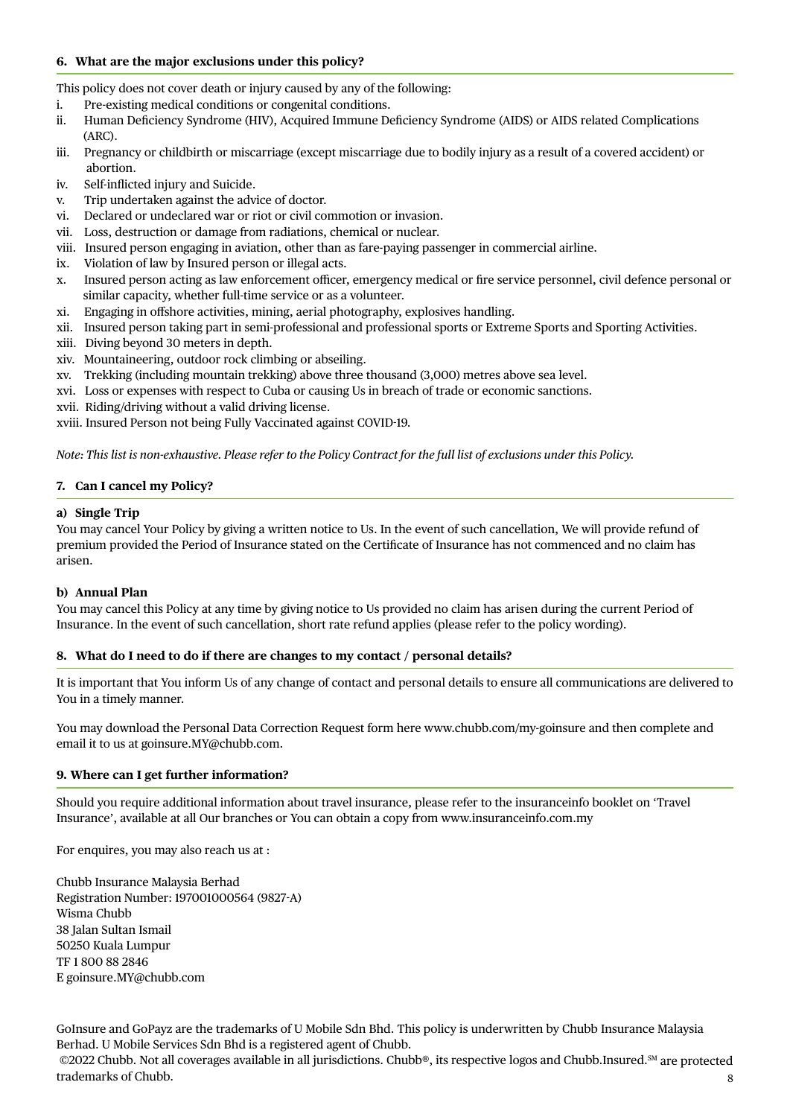#### **6. What are the major exclusions under this policy?**

This policy does not cover death or injury caused by any of the following:

- i. Pre-existing medical conditions or congenital conditions.
- ii. Human Deficiency Syndrome (HIV), Acquired Immune Deficiency Syndrome (AIDS) or AIDS related Complications (ARC).
- iii. Pregnancy or childbirth or miscarriage (except miscarriage due to bodily injury as a result of a covered accident) or abortion.
- iv. Self-inflicted injury and Suicide.
- v. Trip undertaken against the advice of doctor.
- vi. Declared or undeclared war or riot or civil commotion or invasion.
- vii. Loss, destruction or damage from radiations, chemical or nuclear.
- viii. Insured person engaging in aviation, other than as fare-paying passenger in commercial airline.
- ix. Violation of law by Insured person or illegal acts.
- x. Insured person acting as law enforcement officer, emergency medical or fire service personnel, civil defence personal or similar capacity, whether full-time service or as a volunteer.
- xi. Engaging in offshore activities, mining, aerial photography, explosives handling.
- xii. Insured person taking part in semi-professional and professional sports or Extreme Sports and Sporting Activities.
- xiii. Diving beyond 30 meters in depth.
- xiv. Mountaineering, outdoor rock climbing or abseiling.
- xv. Trekking (including mountain trekking) above three thousand (3,000) metres above sea level.
- xvi. Loss or expenses with respect to Cuba or causing Us in breach of trade or economic sanctions.
- xvii. Riding/driving without a valid driving license.

xviii. Insured Person not being Fully Vaccinated against COVID-19.

*Note: This list is non-exhaustive. Please refer to the Policy Contract for the full list of exclusions under this Policy.*

# **7. Can I cancel my Policy?**

# **a) Single Trip**

You may cancel Your Policy by giving a written notice to Us. In the event of such cancellation, We will provide refund of premium provided the Period of Insurance stated on the Certificate of Insurance has not commenced and no claim has arisen.

#### **b) Annual Plan**

You may cancel this Policy at any time by giving notice to Us provided no claim has arisen during the current Period of Insurance. In the event of such cancellation, short rate refund applies (please refer to the policy wording).

#### **8. What do I need to do if there are changes to my contact / personal details?**

It is important that You inform Us of any change of contact and personal details to ensure all communications are delivered to You in a timely manner.

You may download the Personal Data Correction Request form here www.chubb.com/my-goinsure and then complete and email it to us at goinsure.MY@chubb.com.

#### **9. Where can I get further information?**

Should you require additional information about travel insurance, please refer to the insuranceinfo booklet on 'Travel Insurance', available at all Our branches or You can obtain a copy from www.insuranceinfo.com.my

For enquires, you may also reach us at :

Chubb Insurance Malaysia Berhad Registration Number: 197001000564 (9827-A) Wisma Chubb 38 Jalan Sultan Ismail 50250 Kuala Lumpur TF 1 800 88 2846 E goinsure.MY@chubb.com

GoInsure and GoPayz are the trademarks of U Mobile Sdn Bhd. This policy is underwritten by Chubb Insurance Malaysia Berhad. U Mobile Services Sdn Bhd is a registered agent of Chubb.